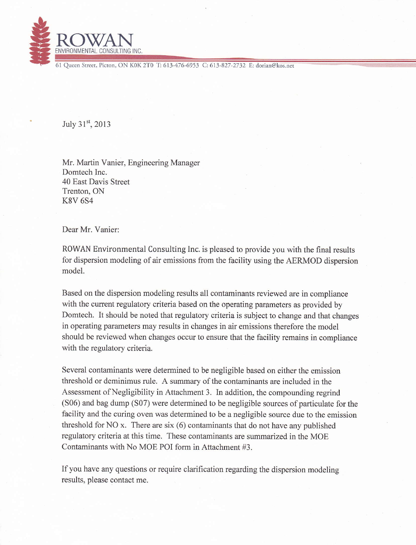

61 Oueen Street, Picton, ON K0K 2T0 T: 613-476-6953 C: 613-827-2732 E: dorian@kos.net

July 31st, 2013

Mr. Martin Vanier, Engineering Manager Domtech lnc. 40 East Davis Street Trenton, ON K8V 6S4

Dear Mr. Vanier:

ROWAN Environmental Consulting Inc. is pleased to provide you with the final results for dispersion modeling of air emissions from the facility using the AERMOD dispersion model.

Based on the dispersion modeling results all contaminants reviewed are in compliaace with the current regulatory criteria based on the operating parameters as provided by Domtech. It should be noted that regulatory criteria is subject to change and that changes in operating parameters may results in changes in air emissions therefore the model should be reviewed when changes occur to ensure that the facility remains in compliance with the regulatory criteria.

Several contaminants were determined to be negligible based on either the emission threshold or deminimus rule. A summary of the contaminants are included in the Assessment of Negligibility in Attachment 3. In addition, the compounding regrind  $(S06)$  and bag dump  $(S07)$  were determined to be negligible sources of particulate for the facility and the curing oven was determined to be a negligible source due to the emission threshold for NO x. There are six (6) contaminants that do not have any published regulatory criteria at this time. These contaminants are summarized in the MOE Contaminants with No MOE POI form in Attachment #3.

If you have any questions or require clarification regarding the dispersion modeling results, please contact me.